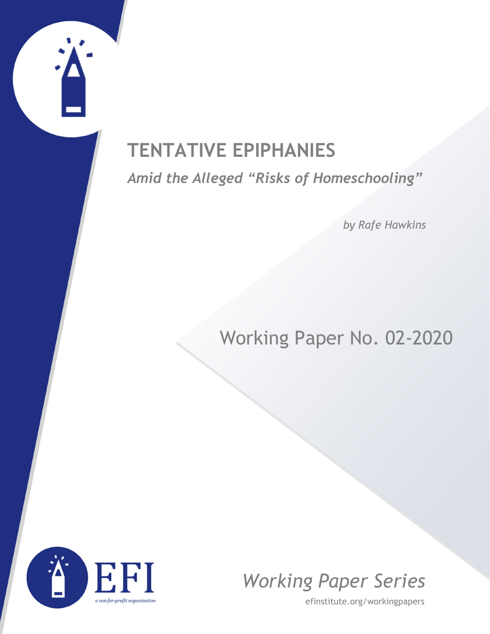# **TENTATIVE EPIPHANIES**

*Amid the Alleged "Risks of Homeschooling"*

*by Rafe Hawkins*

## Working Paper No. 02-2020





efinstitute.org/workingpapers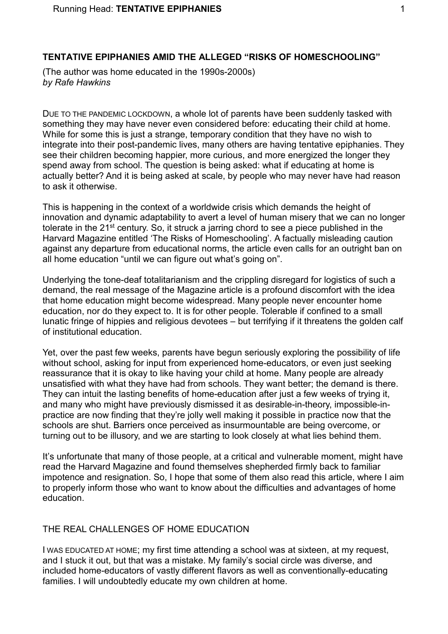## **TENTATIVE EPIPHANIES AMID THE ALLEGED "RISKS OF HOMESCHOOLING"**

(The author was home educated in the 1990s-2000s) *by Rafe Hawkins*

DUE TO THE PANDEMIC LOCKDOWN, a whole lot of parents have been suddenly tasked with something they may have never even considered before: educating their child at home. While for some this is just a strange, temporary condition that they have no wish to integrate into their post-pandemic lives, many others are having tentative epiphanies. They see their children becoming happier, more curious, and more energized the longer they spend away from school. The question is being asked: what if educating at home is actually better? And it is being asked at scale, by people who may never have had reason to ask it otherwise.

This is happening in the context of a worldwide crisis which demands the height of innovation and dynamic adaptability to avert a level of human misery that we can no longer tolerate in the 21<sup>st</sup> century. So, it struck a jarring chord to see a piece published in the Harvard Magazine entitled 'The Risks of Homeschooling'. A factually misleading caution against any departure from educational norms, the article even calls for an outright ban on all home education "until we can figure out what's going on".

Underlying the tone-deaf totalitarianism and the crippling disregard for logistics of such a demand, the real message of the Magazine article is a profound discomfort with the idea that home education might become widespread. Many people never encounter home education, nor do they expect to. It is for other people. Tolerable if confined to a small lunatic fringe of hippies and religious devotees – but terrifying if it threatens the golden calf of institutional education.

Yet, over the past few weeks, parents have begun seriously exploring the possibility of life without school, asking for input from experienced home-educators, or even just seeking reassurance that it is okay to like having your child at home. Many people are already unsatisfied with what they have had from schools. They want better; the demand is there. They can intuit the lasting benefits of home-education after just a few weeks of trying it, and many who might have previously dismissed it as desirable-in-theory, impossible-inpractice are now finding that they're jolly well making it possible in practice now that the schools are shut. Barriers once perceived as insurmountable are being overcome, or turning out to be illusory, and we are starting to look closely at what lies behind them.

It's unfortunate that many of those people, at a critical and vulnerable moment, might have read the Harvard Magazine and found themselves shepherded firmly back to familiar impotence and resignation. So, I hope that some of them also read this article, where I aim to properly inform those who want to know about the difficulties and advantages of home education.

### THE REAL CHALLENGES OF HOME EDUCATION

I WAS EDUCATED AT HOME; my first time attending a school was at sixteen, at my request, and I stuck it out, but that was a mistake. My family's social circle was diverse, and included home-educators of vastly different flavors as well as conventionally-educating families. I will undoubtedly educate my own children at home.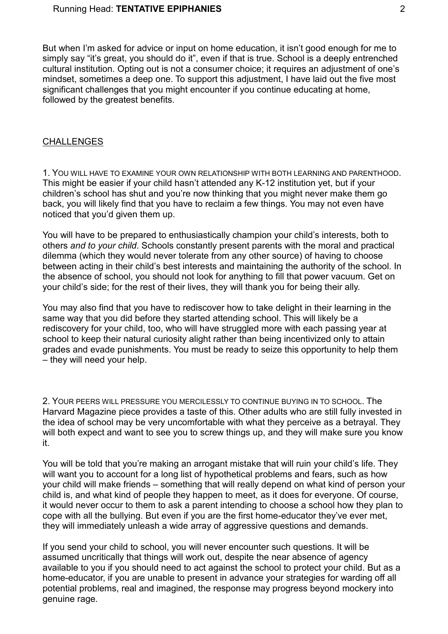But when I'm asked for advice or input on home education, it isn't good enough for me to simply say "it's great, you should do it", even if that is true. School is a deeply entrenched cultural institution. Opting out is not a consumer choice; it requires an adjustment of one's mindset, sometimes a deep one. To support this adjustment, I have laid out the five most significant challenges that you might encounter if you continue educating at home, followed by the greatest benefits.

#### CHALLENGES

1. YOU WILL HAVE TO EXAMINE YOUR OWN RELATIONSHIP WITH BOTH LEARNING AND PARENTHOOD. This might be easier if your child hasn't attended any K-12 institution yet, but if your children's school has shut and you're now thinking that you might never make them go back, you will likely find that you have to reclaim a few things. You may not even have noticed that you'd given them up.

You will have to be prepared to enthusiastically champion your child's interests, both to others *and to your child*. Schools constantly present parents with the moral and practical dilemma (which they would never tolerate from any other source) of having to choose between acting in their child's best interests and maintaining the authority of the school. In the absence of school, you should not look for anything to fill that power vacuum. Get on your child's side; for the rest of their lives, they will thank you for being their ally.

You may also find that you have to rediscover how to take delight in their learning in the same way that you did before they started attending school. This will likely be a rediscovery for your child, too, who will have struggled more with each passing year at school to keep their natural curiosity alight rather than being incentivized only to attain grades and evade punishments. You must be ready to seize this opportunity to help them – they will need your help.

2. YOUR PEERS WILL PRESSURE YOU MERCILESSLY TO CONTINUE BUYING IN TO SCHOOL. The Harvard Magazine piece provides a taste of this. Other adults who are still fully invested in the idea of school may be very uncomfortable with what they perceive as a betrayal. They will both expect and want to see you to screw things up, and they will make sure you know it.

You will be told that you're making an arrogant mistake that will ruin your child's life. They will want you to account for a long list of hypothetical problems and fears, such as how your child will make friends – something that will really depend on what kind of person your child is, and what kind of people they happen to meet, as it does for everyone. Of course, it would never occur to them to ask a parent intending to choose a school how they plan to cope with all the bullying. But even if you are the first home-educator they've ever met, they will immediately unleash a wide array of aggressive questions and demands.

If you send your child to school, you will never encounter such questions. It will be assumed uncritically that things will work out, despite the near absence of agency available to you if you should need to act against the school to protect your child. But as a home-educator, if you are unable to present in advance your strategies for warding off all potential problems, real and imagined, the response may progress beyond mockery into genuine rage.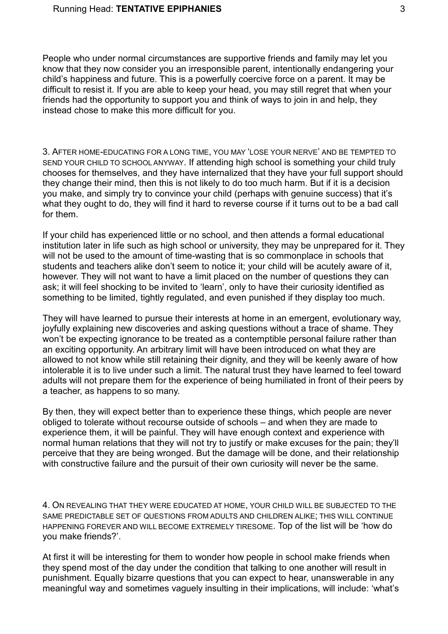People who under normal circumstances are supportive friends and family may let you know that they now consider you an irresponsible parent, intentionally endangering your child's happiness and future. This is a powerfully coercive force on a parent. It may be difficult to resist it. If you are able to keep your head, you may still regret that when your friends had the opportunity to support you and think of ways to join in and help, they instead chose to make this more difficult for you.

3. AFTER HOME-EDUCATING FOR A LONG TIME, YOU MAY 'LOSE YOUR NERVE' AND BE TEMPTED TO SEND YOUR CHILD TO SCHOOL ANYWAY. If attending high school is something your child truly chooses for themselves, and they have internalized that they have your full support should they change their mind, then this is not likely to do too much harm. But if it is a decision you make, and simply try to convince your child (perhaps with genuine success) that it's what they ought to do, they will find it hard to reverse course if it turns out to be a bad call for them.

If your child has experienced little or no school, and then attends a formal educational institution later in life such as high school or university, they may be unprepared for it. They will not be used to the amount of time-wasting that is so commonplace in schools that students and teachers alike don't seem to notice it; your child will be acutely aware of it, however. They will not want to have a limit placed on the number of questions they can ask; it will feel shocking to be invited to 'learn', only to have their curiosity identified as something to be limited, tightly regulated, and even punished if they display too much.

They will have learned to pursue their interests at home in an emergent, evolutionary way, joyfully explaining new discoveries and asking questions without a trace of shame. They won't be expecting ignorance to be treated as a contemptible personal failure rather than an exciting opportunity. An arbitrary limit will have been introduced on what they are allowed to not know while still retaining their dignity, and they will be keenly aware of how intolerable it is to live under such a limit. The natural trust they have learned to feel toward adults will not prepare them for the experience of being humiliated in front of their peers by a teacher, as happens to so many.

By then, they will expect better than to experience these things, which people are never obliged to tolerate without recourse outside of schools – and when they are made to experience them, it will be painful. They will have enough context and experience with normal human relations that they will not try to justify or make excuses for the pain; they'll perceive that they are being wronged. But the damage will be done, and their relationship with constructive failure and the pursuit of their own curiosity will never be the same.

4. ON REVEALING THAT THEY WERE EDUCATED AT HOME, YOUR CHILD WILL BE SUBJECTED TO THE SAME PREDICTABLE SET OF QUESTIONS FROM ADULTS AND CHILDREN ALIKE; THIS WILL CONTINUE HAPPENING FOREVER AND WILL BECOME EXTREMELY TIRESOME. Top of the list will be 'how do you make friends?'.

At first it will be interesting for them to wonder how people in school make friends when they spend most of the day under the condition that talking to one another will result in punishment. Equally bizarre questions that you can expect to hear, unanswerable in any meaningful way and sometimes vaguely insulting in their implications, will include: 'what's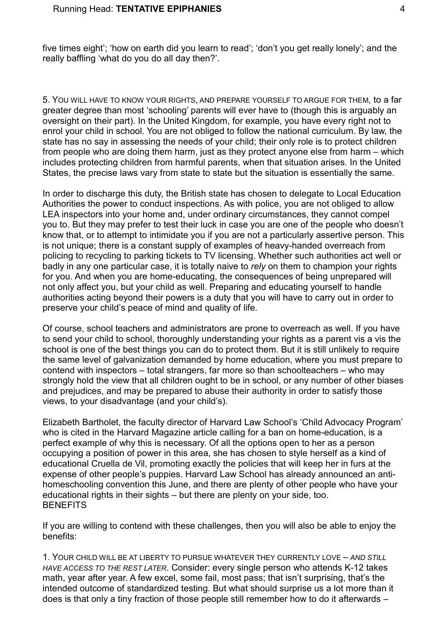five times eight'; 'how on earth did you learn to read'; 'don't you get really lonely'; and the really baffling 'what do you do all day then?'.

5. YOU WILL HAVE TO KNOW YOUR RIGHTS, AND PREPARE YOURSELF TO ARGUE FOR THEM, to a far greater degree than most 'schooling' parents will ever have to (though this is arguably an oversight on their part). In the United Kingdom, for example, you have every right not to enrol your child in school. You are not obliged to follow the national curriculum. By law, the state has no say in assessing the needs of your child; their only role is to protect children from people who are doing them harm, just as they protect anyone else from harm – which includes protecting children from harmful parents, when that situation arises. In the United States, the precise laws vary from state to state but the situation is essentially the same.

In order to discharge this duty, the British state has chosen to delegate to Local Education Authorities the power to conduct inspections. As with police, you are not obliged to allow LEA inspectors into your home and, under ordinary circumstances, they cannot compel you to. But they may prefer to test their luck in case you are one of the people who doesn't know that, or to attempt to intimidate you if you are not a particularly assertive person. This is not unique; there is a constant supply of examples of heavy-handed overreach from policing to recycling to parking tickets to TV licensing. Whether such authorities act well or badly in any one particular case, it is totally naive to *rely* on them to champion your rights for you. And when you are home-educating, the consequences of being unprepared will not only affect you, but your child as well. Preparing and educating yourself to handle authorities acting beyond their powers is a duty that you will have to carry out in order to preserve your child's peace of mind and quality of life.

Of course, school teachers and administrators are prone to overreach as well. If you have to send your child to school, thoroughly understanding your rights as a parent vis a vis the school is one of the best things you can do to protect them. But it is still unlikely to require the same level of galvanization demanded by home education, where you must prepare to contend with inspectors – total strangers, far more so than schoolteachers – who may strongly hold the view that all children ought to be in school, or any number of other biases and prejudices, and may be prepared to abuse their authority in order to satisfy those views, to your disadvantage (and your child's).

Elizabeth Bartholet, the faculty director of Harvard Law School's 'Child Advocacy Program' who is cited in the Harvard Magazine article calling for a ban on home-education, is a perfect example of why this is necessary. Of all the options open to her as a person occupying a position of power in this area, she has chosen to style herself as a kind of educational Cruella de Vil, promoting exactly the policies that will keep her in furs at the expense of other people's puppies. Harvard Law School has already announced an antihomeschooling convention this June, and there are plenty of other people who have your educational rights in their sights – but there are plenty on your side, too. **BENEFITS** 

If you are willing to contend with these challenges, then you will also be able to enjoy the benefits:

1. YOUR CHILD WILL BE AT LIBERTY TO PURSUE WHATEVER THEY CURRENTLY LOVE – *AND STILL HAVE ACCESS TO THE REST LATER*. Consider: every single person who attends K-12 takes math, year after year. A few excel, some fail, most pass; that isn't surprising, that's the intended outcome of standardized testing. But what should surprise us a lot more than it does is that only a tiny fraction of those people still remember how to do it afterwards –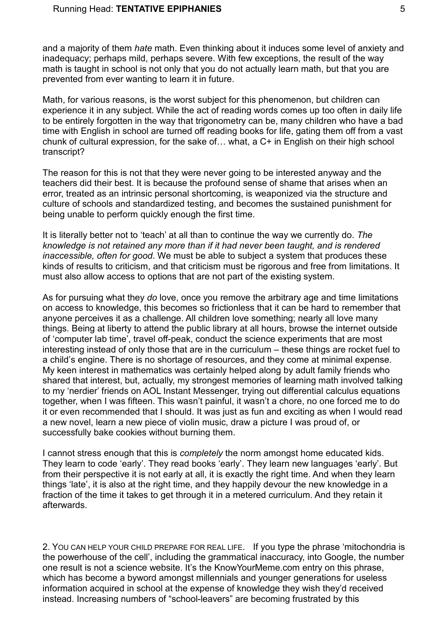and a majority of them *hate* math. Even thinking about it induces some level of anxiety and inadequacy; perhaps mild, perhaps severe. With few exceptions, the result of the way math is taught in school is not only that you do not actually learn math, but that you are prevented from ever wanting to learn it in future.

Math, for various reasons, is the worst subject for this phenomenon, but children can experience it in any subject. While the act of reading words comes up too often in daily life to be entirely forgotten in the way that trigonometry can be, many children who have a bad time with English in school are turned off reading books for life, gating them off from a vast chunk of cultural expression, for the sake of… what, a C+ in English on their high school transcript?

The reason for this is not that they were never going to be interested anyway and the teachers did their best. It is because the profound sense of shame that arises when an error, treated as an intrinsic personal shortcoming, is weaponized via the structure and culture of schools and standardized testing, and becomes the sustained punishment for being unable to perform quickly enough the first time.

It is literally better not to 'teach' at all than to continue the way we currently do. *The knowledge is not retained any more than if it had never been taught, and is rendered inaccessible, often for good*. We must be able to subject a system that produces these kinds of results to criticism, and that criticism must be rigorous and free from limitations. It must also allow access to options that are not part of the existing system.

As for pursuing what they *do* love, once you remove the arbitrary age and time limitations on access to knowledge, this becomes so frictionless that it can be hard to remember that anyone perceives it as a challenge. All children love something; nearly all love many things. Being at liberty to attend the public library at all hours, browse the internet outside of 'computer lab time', travel off-peak, conduct the science experiments that are most interesting instead of only those that are in the curriculum – these things are rocket fuel to a child's engine. There is no shortage of resources, and they come at minimal expense. My keen interest in mathematics was certainly helped along by adult family friends who shared that interest, but, actually, my strongest memories of learning math involved talking to my 'nerdier' friends on AOL Instant Messenger, trying out differential calculus equations together, when I was fifteen. This wasn't painful, it wasn't a chore, no one forced me to do it or even recommended that I should. It was just as fun and exciting as when I would read a new novel, learn a new piece of violin music, draw a picture I was proud of, or successfully bake cookies without burning them.

I cannot stress enough that this is *completely* the norm amongst home educated kids. They learn to code 'early'. They read books 'early'. They learn new languages 'early'. But from their perspective it is not early at all, it is exactly the right time. And when they learn things 'late', it is also at the right time, and they happily devour the new knowledge in a fraction of the time it takes to get through it in a metered curriculum. And they retain it afterwards.

2. YOU CAN HELP YOUR CHILD PREPARE FOR REAL LIFE. If you type the phrase 'mitochondria is the powerhouse of the cell', including the grammatical inaccuracy, into Google, the number one result is not a science website. It's the KnowYourMeme.com entry on this phrase, which has become a byword amongst millennials and younger generations for useless information acquired in school at the expense of knowledge they wish they'd received instead. Increasing numbers of "school-leavers" are becoming frustrated by this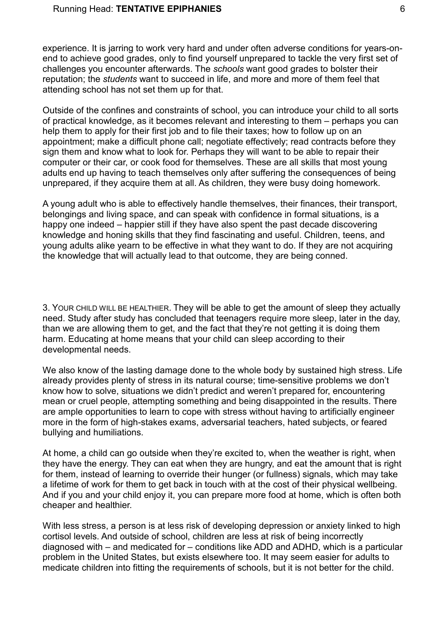#### Running Head: **TENTATIVE EPIPHANIES** 6

experience. It is jarring to work very hard and under often adverse conditions for years-onend to achieve good grades, only to find yourself unprepared to tackle the very first set of challenges you encounter afterwards. The *schools* want good grades to bolster their reputation; the *students* want to succeed in life, and more and more of them feel that attending school has not set them up for that.

Outside of the confines and constraints of school, you can introduce your child to all sorts of practical knowledge, as it becomes relevant and interesting to them – perhaps you can help them to apply for their first job and to file their taxes; how to follow up on an appointment; make a difficult phone call; negotiate effectively; read contracts before they sign them and know what to look for. Perhaps they will want to be able to repair their computer or their car, or cook food for themselves. These are all skills that most young adults end up having to teach themselves only after suffering the consequences of being unprepared, if they acquire them at all. As children, they were busy doing homework.

A young adult who is able to effectively handle themselves, their finances, their transport, belongings and living space, and can speak with confidence in formal situations, is a happy one indeed – happier still if they have also spent the past decade discovering knowledge and honing skills that they find fascinating and useful. Children, teens, and young adults alike yearn to be effective in what they want to do. If they are not acquiring the knowledge that will actually lead to that outcome, they are being conned.

3. YOUR CHILD WILL BE HEALTHIER. They will be able to get the amount of sleep they actually need. Study after study has concluded that teenagers require more sleep, later in the day, than we are allowing them to get, and the fact that they're not getting it is doing them harm. Educating at home means that your child can sleep according to their developmental needs.

We also know of the lasting damage done to the whole body by sustained high stress. Life already provides plenty of stress in its natural course; time-sensitive problems we don't know how to solve, situations we didn't predict and weren't prepared for, encountering mean or cruel people, attempting something and being disappointed in the results. There are ample opportunities to learn to cope with stress without having to artificially engineer more in the form of high-stakes exams, adversarial teachers, hated subjects, or feared bullying and humiliations.

At home, a child can go outside when they're excited to, when the weather is right, when they have the energy. They can eat when they are hungry, and eat the amount that is right for them, instead of learning to override their hunger (or fullness) signals, which may take a lifetime of work for them to get back in touch with at the cost of their physical wellbeing. And if you and your child enjoy it, you can prepare more food at home, which is often both cheaper and healthier.

With less stress, a person is at less risk of developing depression or anxiety linked to high cortisol levels. And outside of school, children are less at risk of being incorrectly diagnosed with – and medicated for – conditions like ADD and ADHD, which is a particular problem in the United States, but exists elsewhere too. It may seem easier for adults to medicate children into fitting the requirements of schools, but it is not better for the child.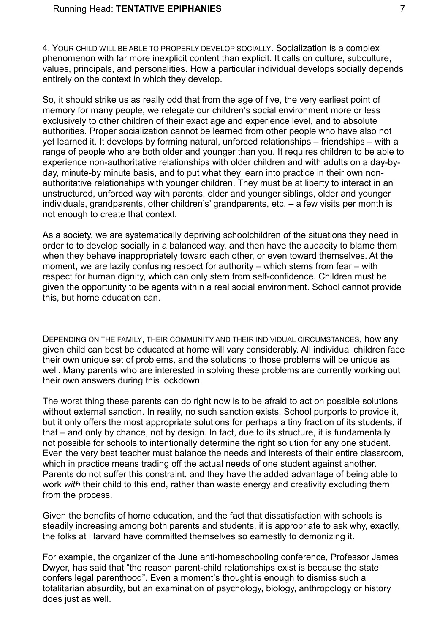4. YOUR CHILD WILL BE ABLE TO PROPERLY DEVELOP SOCIALLY. Socialization is a complex phenomenon with far more inexplicit content than explicit. It calls on culture, subculture, values, principals, and personalities. How a particular individual develops socially depends entirely on the context in which they develop.

So, it should strike us as really odd that from the age of five, the very earliest point of memory for many people, we relegate our children's social environment more or less exclusively to other children of their exact age and experience level, and to absolute authorities. Proper socialization cannot be learned from other people who have also not yet learned it. It develops by forming natural, unforced relationships – friendships – with a range of people who are both older and younger than you. It requires children to be able to experience non-authoritative relationships with older children and with adults on a day-byday, minute-by minute basis, and to put what they learn into practice in their own nonauthoritative relationships with younger children. They must be at liberty to interact in an unstructured, unforced way with parents, older and younger siblings, older and younger individuals, grandparents, other children's' grandparents, etc. – a few visits per month is not enough to create that context.

As a society, we are systematically depriving schoolchildren of the situations they need in order to to develop socially in a balanced way, and then have the audacity to blame them when they behave inappropriately toward each other, or even toward themselves. At the moment, we are lazily confusing respect for authority – which stems from fear – with respect for human dignity, which can only stem from self-confidence. Children must be given the opportunity to be agents within a real social environment. School cannot provide this, but home education can.

DEPENDING ON THE FAMILY, THEIR COMMUNITY AND THEIR INDIVIDUAL CIRCUMSTANCES, how any given child can best be educated at home will vary considerably. All individual children face their own unique set of problems, and the solutions to those problems will be unique as well. Many parents who are interested in solving these problems are currently working out their own answers during this lockdown.

The worst thing these parents can do right now is to be afraid to act on possible solutions without external sanction. In reality, no such sanction exists. School purports to provide it, but it only offers the most appropriate solutions for perhaps a tiny fraction of its students, if that – and only by chance, not by design. In fact, due to its structure, it is fundamentally not possible for schools to intentionally determine the right solution for any one student. Even the very best teacher must balance the needs and interests of their entire classroom, which in practice means trading off the actual needs of one student against another. Parents do not suffer this constraint, and they have the added advantage of being able to work *with* their child to this end, rather than waste energy and creativity excluding them from the process.

Given the benefits of home education, and the fact that dissatisfaction with schools is steadily increasing among both parents and students, it is appropriate to ask why, exactly, the folks at Harvard have committed themselves so earnestly to demonizing it.

For example, the organizer of the June anti-homeschooling conference, Professor James Dwyer, has said that "the reason parent-child relationships exist is because the state confers legal parenthood". Even a moment's thought is enough to dismiss such a totalitarian absurdity, but an examination of psychology, biology, anthropology or history does just as well.